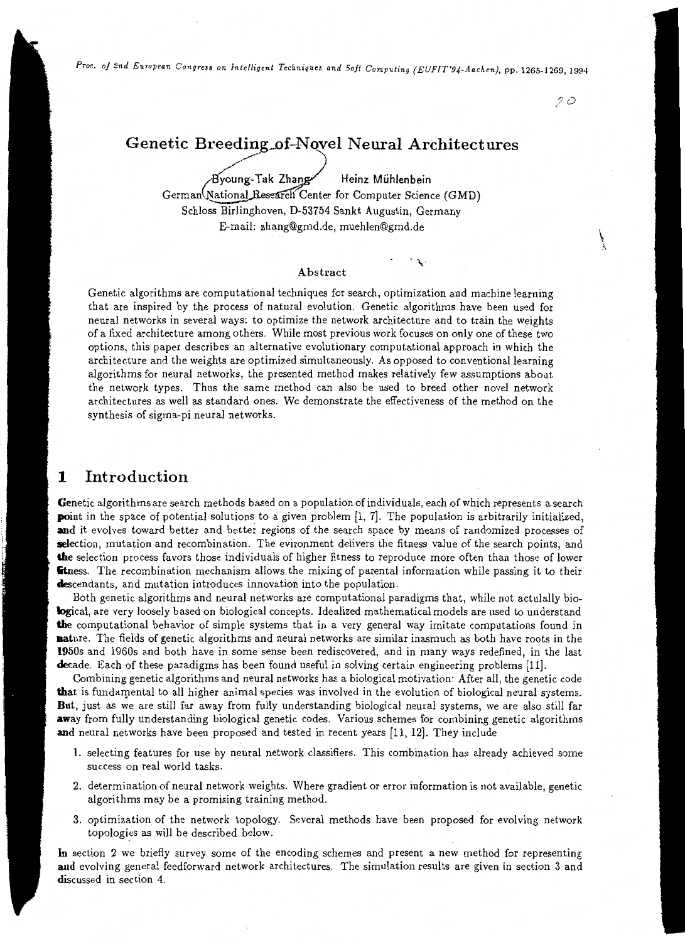*Proc. of 2nd European Congress on Intelligent Techniques and Soft Computing (EUFIT'94-Aachen), pp. 1265-1269, 1994* 

*JO* 

## Genetic Breeding of-Novel Neural Architectures

~---

~ng-Tak Zhan Heinz Muhlenbein

 $\cdot$ 

German (National Research Center for Computer Science (GMD) Schloss Birlinghoven, D-53754 Sankt Augustin, Germany E-mail: zhang@gmd.de, muehlen@gmd.de

### Abstract

Genetic algorithms are computational techniques for search, optimization and machine learning that are inspired by the process of natural evolution. Genetic algorithms have been used for neural networks in several ways: to optimize the network architecture and to train the weights of a fixed architecture among others. While most previous work focuses on only one of these two options, this paper describes an alternative evolutionary computational approach in which the architecture and the weights are optimized simultaneously. As opposed to conventional learning algorithms for neural networks, the presented method makes relatively few assumptions about the network types. Thus the same method can also be used to breed other novel network architectures as well as standard ones. We demonstrate the effectiveness of the method on the synthesis of sigma-pi neural networks.

## 1 Introduction

Genetic algorithms are search methods based on a population of individuals, each of which represents a search point in the space of potential solutions to a given problem [1, 7]. The population is arbitrarily initialized, and it evolves toward better and better regions of the search space by means of randomized processes of **selection, mutation and recombination.** The evironment delivers the fitness value of the search points, and the selection process favors those individuals of higher fitness to reproduce more often than those of lower **fitness.** The recombination mechanism allows the mixing of parental information while passing it to their descendants, and mutation introduces innovation into the population.

Both genetic algorithms and neural networks are computational paradigms that, while not actulally biological, are very loosely based on biological concepts. Idealized mathematical models are used to understand the computational behavior of simple systems that in a very general way imitate computations found in **nature.** The fields of genetic algorithms and neural networks are similar inasmuch as both have roots in the 1950s and 1960s and both have in some sense been rediscovered, and in many ways redefined, in the last decade. Each of these paradigms has been found useful in solving certain engineering problems [11].

Combining genetic algorithms and neural networks has a biological motivation: After all, the genetic code that is fundamental to all higher animal species was involved in the evolution of biological neural systems. But, just as we are still far away from fully understanding biological neural systems, we are also still far away from fully understanding biological genetic codes. Various schemes for combining genetic algorithms and neural networks have been proposed and tested in recent years [11, 12]. They include

- 1. selecting features for use by neural network classifiers. This combination has already achieved some success on real world tasks.
- 2. determination of neural network weights. Where gradient or error information is not available, genetic algorithms may be a promising training method.
- 3. optimization of the network topology. Several methods have been proposed for evolving network topologies as will be described below.

In section 2 we briefly survey some of the encoding schemes and present a new method for representing and evolving general feedforward network architectures. The simulation results are given in section 3 and discussed in section 4.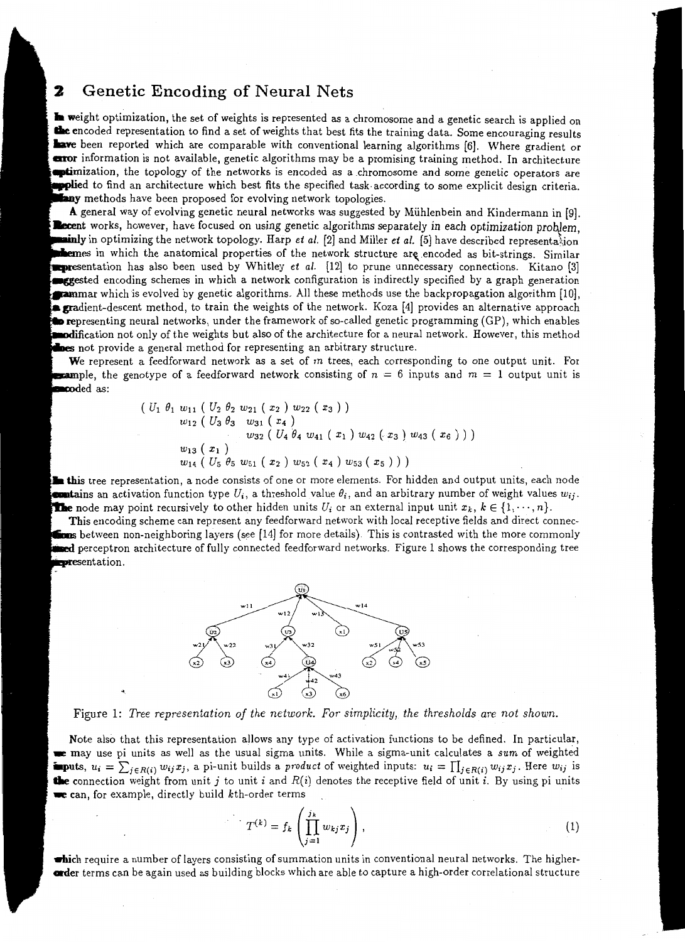#### Genetic Encoding of Neural Nets 2

**In weight optimization, the set of weights is represented as a chromosome and a genetic search is applied on** the encoded representation to find a set of weights that best fits the training data. Some encouraging results **lave** been reported which are comparable with conventional learning algorithms [6]. Where gradient or **curor** information is not available, genetic algorithms may be a promising training method. In architecture **extimization**, the topology of the networks is encoded as a chromosome and some genetic operators are **•plie**d to find an architecture which best fits the specified task according to some explicit design criteria. any methods have been proposed for evolving network topologies.

A general way of evolving genetic neural networks was suggested by Miihlenbein and Kindermann in [9]. Recent works, however, have focused on using genetic algorithms separately in each optimization problem, · in optimizing the network topology. Harp *et a/.* [2] and Miller *et a/.* [5] have described representa\ion themes in which the anatomical properties of the network structure are encoded as bit-strings. Similar **Expresentation has also been used by Whitley** *et al.* **[12] to prune unnecessary connections. Kitano [3] Example 3** encoding schemes in which a network configuration is indirectly specified by a graph generation **Exammar** which is evolved by genetic algorithms. All these methods use the backpropagation algorithm [10], **gradient-descent method, to train the weights of the network.** Koza [4] provides an alternative approach **to re**presenting neural networks, under the framework of so-called genetic programming (GP), which enables **nodification not only of the weights but also of the architecture for a neural network. However, this method** nes not provide a general method for representing an arbitrary structure.

We represent a feedforward network as a set of  $m$  trees, each corresponding to one output unit. For **Example,** the genotype of a feedforward network consisting of  $n = 6$  inputs and  $m = 1$  output unit is **co**ded as:

$$
\begin{array}{l}\n(U_1 \ \theta_1 \ w_{11} \ (U_2 \ \theta_2 \ w_{21} \ (x_2 \ ) \ w_{22} \ (x_3 \ )\n\end{array}\n\right)\n\begin{array}{l}\n w_{12} \ (U_3 \ \theta_3 \ w_{31} \ (x_4 \ )\n\end{array}\n\quad\n\begin{array}{l}\n w_{22} \ (U_4 \ \theta_4 \ w_{41} \ (x_1 \ ) \ w_{42} \ (x_3 \ ) \ w_{43} \ (x_6 \ )\n\end{array}\n)\n\right)\n\begin{array}{l}\n w_{13} \ (x_1 \ )\n\end{array}\n\quad\n\begin{array}{l}\n w_{14} \ (U_5 \ \theta_5 \ w_{51} \ (x_2 \ ) \ w_{52} \ (x_4 \ ) \ w_{53} \ (x_5 \ )\n\end{array}\n\end{array}
$$

**this tree representation, a node consists of one or more elements. For hidden and output units, each node unitains** an activation function type  $U_i$ , a threshold value  $\theta_i$ , and an arbitrary number of weight values  $w_{ij}$ . **The** node may point recursively to other hidden units  $U_i$  or an external input unit  $x_k$ ,  $k \in \{1, \dots, n\}$ .

This encoding scheme can represent any feedforward network with local receptive fields and direct connecbetween non-neighboring layers (see [14] for more details). This is contrasted with the more commonly **ned** perceptron architecture of fully connected feedforward networks. Figure 1 shows the corresponding tree presentation.



Figure 1: *Tree representation of the network. For simplicity, the thresholds are not shown.* 

Note also that this representation allows any type of activation functions to be defined. In particular, ~ may use pi units as well as the usual sigma units. While a sigma-unit calculates a *sum* of weighted **imputs**,  $u_i = \sum_{j \in R(i)} w_{ij} x_j$ , a pi-unit builds a *product* of weighted inputs:  $u_i = \prod_{j \in R(i)} w_{ij} x_j$ . Here  $w_{ij}$  is **the** connection weight from unit j to unit *i* and  $R(i)$  denotes the receptive field of unit *i*. By using pi units  $\bullet$  can, for example, directly build  $k$ th-order terms

$$
T^{(k)} = f_k \left( \prod_{j=1}^{j_k} w_{kj} x_j \right), \qquad (1)
$$

which require a number of layers consisting of summation units in conventional neural networks. The higher**order** terms can be again used as building blocks which are able to capture a high-order correlational structure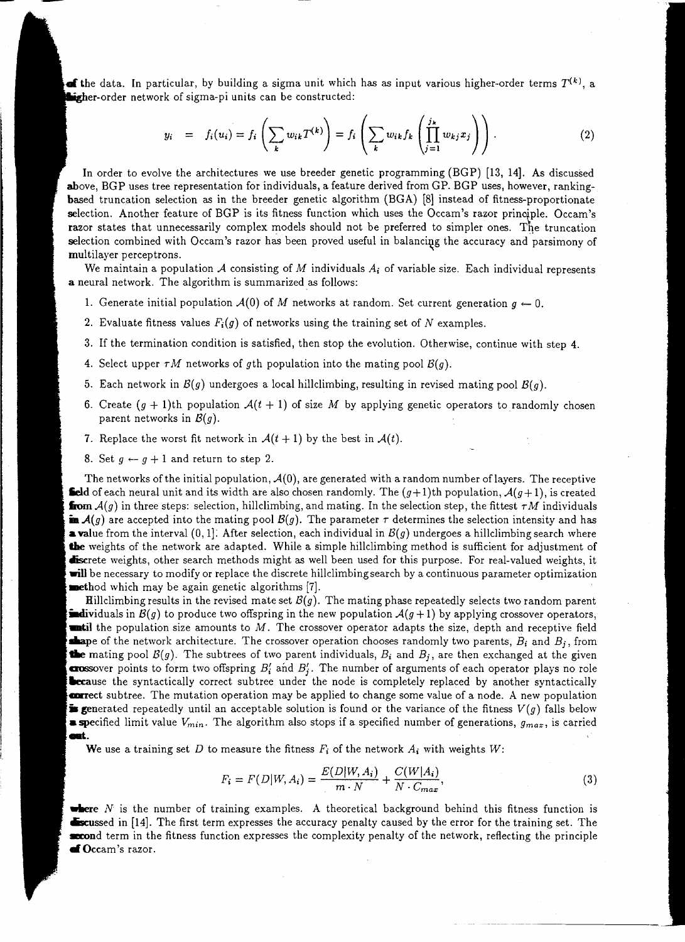**of the data.** In particular, by building a sigma unit which has as input various higher-order terms  $T^{(k)}$ , a ligher-order network of sigma-pi units can be constructed:

$$
y_i = f_i(u_i) = f_i\left(\sum_k w_{ik} T^{(k)}\right) = f_i\left(\sum_k w_{ik} f_k\left(\prod_{j=1}^{j_k} w_{kj} x_j\right)\right). \tag{2}
$$

In order to evolve the architectures we use breeder genetic programming (BGP) [13, 14]. As discussed above, BGP uses tree representation for individuals, a feature derived from GP. BGP uses, however, rankingbased truncation selection as in the breeder genetic algorithm (BGA) (8] instead of fitness-proportionate selection. Another feature of BGP is its fitness function which uses the Occam's razor principle. Occam's razor states that unnecessarily complex models should not be preferred to simpler ones. The truncation selection combined with Occam's razor has been proved useful in balancing the accuracy and parsimony of multilayer perceptrons.

We maintain a population  $A$  consisting of  $M$  individuals  $A_i$  of variable size. Each individual represents a neural network. The algorithm is summarized as follows:

- 1. Generate initial population  $\mathcal{A}(0)$  of M networks at random. Set current generation  $g \leftarrow 0$ .
- 2. Evaluate fitness values  $F_i(g)$  of networks using the training set of N examples.
- 3. If the termination condition is satisfied, then stop the evolution. Otherwise, continue with step 4.
- 4. Select upper  $\tau M$  networks of gth population into the mating pool  $B(q)$ .
- 5. Each network in  $B(g)$  undergoes a local hillclimbing, resulting in revised mating pool  $B(g)$ .
- 6. Create  $(g + 1)$ th population  $\mathcal{A}(t + 1)$  of size M by applying genetic operators to randomly chosen parent networks in *B(g).*
- 7. Replace the worst fit network in  $\mathcal{A}(t+1)$  by the best in  $\mathcal{A}(t)$ .
- 8. Set  $g \leftarrow g + 1$  and return to step 2.

The networks of the initial population,  $A(0)$ , are generated with a random number of layers. The receptive **field** of each neural unit and its width are also chosen randomly. The  $(g+1)$ th population,  $\mathcal{A}(g+1)$ , is created **from**  $A(g)$  in three steps: selection, hillclimbing, and mating. In the selection step, the fittest  $\tau M$  individuals **in**  $\mathcal{A}(g)$  are accepted into the mating pool  $\mathcal{B}(g)$ . The parameter  $\tau$  determines the selection intensity and has **a value from the interval**  $(0, 1]$ **. After selection, each individual in**  $B(g)$  **undergoes a hillclimbing search where** the weights of the network are adapted. While a simple hillclimbing method is sufficient for adjustment of discrete weights, other search methods might as well been used for this purpose. For real-valued weights, it will be necessary to modify or replace the discrete hillclimbing search by a continuous parameter optimization **method** which may be again genetic algorithms  $[7]$ .

**Hillclimbing results in the revised mate set**  $B(g)$ **. The mating phase repeatedly selects two random parent individuals** in  $B(g)$  to produce two offspring in the new population  $A(g+1)$  by applying crossover operators, **until** the population size amounts to  $M$ . The crossover operator adapts the size, depth and receptive field **of** the network architecture. The crossover operation chooses randomly two parents,  $B_i$  and  $B_j$ , from • mating pool *B(g).* The subtrees of two parent individuals, *B;* and *Bj,* are then exchanged at the given **arossover** points to form two offspring  $B'_i$  and  $B'_j$ . The number of arguments of each operator plays no role **Lecause** the syntactically correct subtree under the node is completely replaced by another syntactically **excepted** subtree. The mutation operation may be applied to change some value of a node. A new population **is generated repeatedly until an acceptable solution is found or the variance of the fitness**  $V(g)$  **falls below** a specified limit value *Vmin·* The algorithm also stops if a specified number of generations, *gmax,* is carried ent.

We use a training set D to measure the fitness  $F_i$  of the network  $A_i$  with weights W:

$$
F_i = F(D|W, A_i) = \frac{E(D|W, A_i)}{m \cdot N} + \frac{C(W|A_i)}{N \cdot C_{max}},
$$
\n(3)

-·---- ---- ----------

**where**  $N$  is the number of training examples. A theoretical background behind this fitness function is **Excussed in [14].** The first term expresses the accuracy penalty caused by the error for the training set. The stord term in the fitness function expresses the complexity penalty of the network, reflecting the principle of Occam's razor.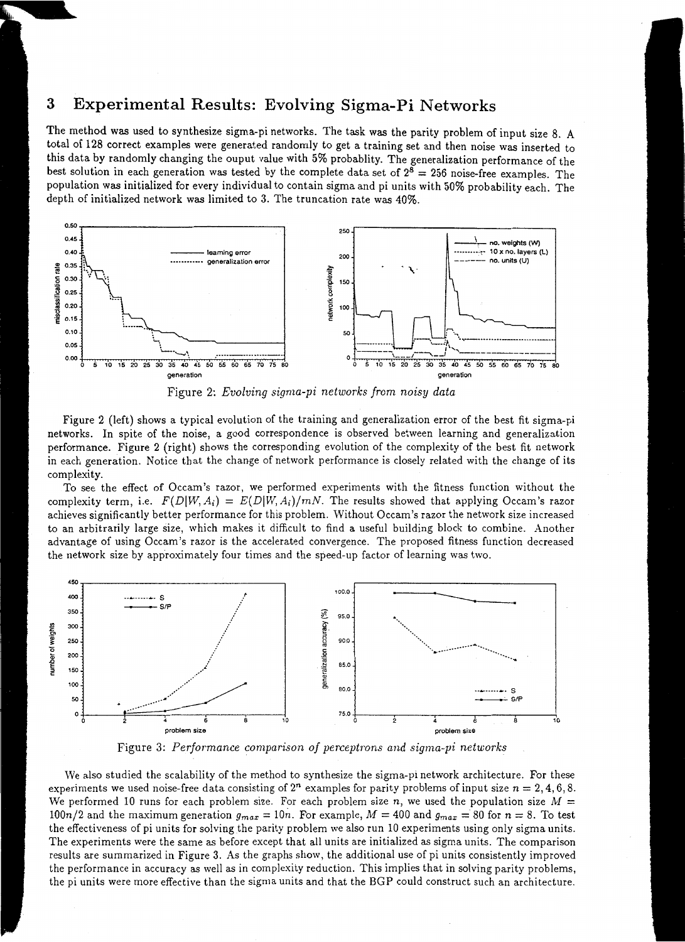## **3 Experimental Results: Evolving Sigma-Pi Networks**

The method was used to synthesize sigma-pi networks. The task was the parity problem of input size 8. A total of 128 correct examples were generated randomly to get a training set and then noise was inserted to this data by randomly changing the ouput value with 5% probablity. The generalization performance of the best solution in each generation was tested by the complete data set of  $2^8 = 256$  noise-free examples. The population was initialized for every individual to contain sigma and pi units with 50% probability each. The depth of initialized network was limited to 3. The truncation rate was 40%.



Figure 2: *Evolving sigma-pi networks from noisy data* 

Figure 2 (left) shows a typical evolution of the training and generalization error of the best fit sigma-pi networks. In spite of the noise, a good correspondence is observed between learning and generalization performance. Figure 2 (right) shows the corresponding evolution of the complexity of the best fit network in each generation. Notice that the change of network performance is closely related with the change of its complexity.

To see the effect of Occam's razor, we performed experiments with the fitness function without the complexity term, i.e.  $F(D|W, A_i) = E(D|W, A_i)/mN$ . The results showed that applying Occam's razor achieves significantly better performance for this problem. Without Occam's razor the network size increased to an arbitrarily large size, which makes it difficult to find a useful building block to combine. Another advantage of using Occam's razor is the accelerated convergence. The proposed fitness function decreased the network size by approximately four times and the speed-up factor of learning was two.



Figure 3: *Performance comparison of perceptmns and sigma-pi networks* 

We also studied the scalability of the method to synthesize the sigma-pi network architecture. For these experiments we used noise-free data consisting of  $2^n$  examples for parity problems of input size  $n = 2, 4, 6, 8$ . We performed 10 runs for each problem size. For each problem size  $n$ , we used the population size  $M =$ 100n/2 and the maximum generation  $g_{max} = 10n$ . For example,  $M = 400$  and  $g_{max} = 80$  for  $n = 8$ . To test the effectiveness of pi units for solving the parity problem we also run 10 experiments using only sigma units. The experiments were the same as before except that all units are initialized as sigma units. The comparison results are summarized in Figure 3. As the graphs show, the additional use of pi units consistently improved the performance in accuracy as well as in complexity reduction. This implies that in solving parity problems, the pi units were more effective than the sigma units and that the BGP could construct such an architecture.